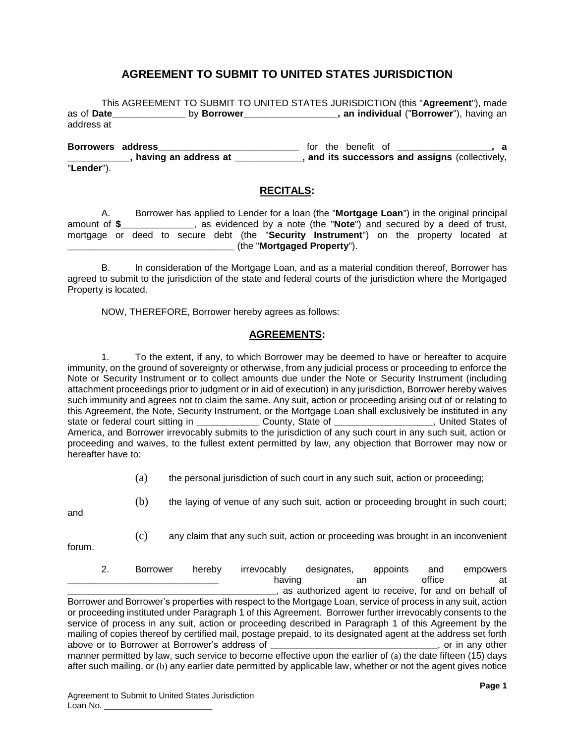# **AGREEMENT TO SUBMIT TO UNITED STATES JURISDICTION**

This AGREEMENT TO SUBMIT TO UNITED STATES JURISDICTION (this "**Agreement**"), made as of **Date\_\_\_\_\_\_\_\_\_\_\_\_\_\_** by **Borrower\_\_\_\_\_\_\_\_\_\_\_\_\_\_\_\_\_\_, an individual** ("**Borrower**"), having an address at

**Borrowers address\_\_\_\_\_\_\_\_\_\_\_\_\_\_\_\_\_\_\_\_\_\_\_\_\_\_\_** for the benefit of **\_\_\_\_\_\_\_\_\_\_\_\_\_\_\_\_\_\_, a \_\_\_\_\_\_\_\_\_\_\_\_, having an address at \_\_\_\_\_\_\_\_\_\_\_\_\_, and its successors and assigns** (collectively, "**Lender**").

#### **RECITALS:**

A. Borrower has applied to Lender for a loan (the "**Mortgage Loan**") in the original principal as evidenced by a note (the "**Note**") and secured by a deed of trust, mortgage or deed to secure debt (the "**Security Instrument**") on the property located at **\_\_\_\_\_\_\_\_\_\_\_\_\_\_\_\_\_\_\_\_\_\_\_\_\_\_\_\_\_\_\_\_** (the "**Mortgaged Property**").

B. In consideration of the Mortgage Loan, and as a material condition thereof, Borrower has agreed to submit to the jurisdiction of the state and federal courts of the jurisdiction where the Mortgaged Property is located.

NOW, THEREFORE, Borrower hereby agrees as follows:

# **AGREEMENTS:**

<span id="page-0-0"></span>1. To the extent, if any, to which Borrower may be deemed to have or hereafter to acquire immunity, on the ground of sovereignty or otherwise, from any judicial process or proceeding to enforce the Note or Security Instrument or to collect amounts due under the Note or Security Instrument (including attachment proceedings prior to judgment or in aid of execution) in any jurisdiction, Borrower hereby waives such immunity and agrees not to claim the same. Any suit, action or proceeding arising out of or relating to this Agreement, the Note, Security Instrument, or the Mortgage Loan shall exclusively be instituted in any state or federal court sitting in **\_\_\_\_\_\_\_\_\_\_\_\_** County, State of **\_\_\_\_\_\_\_\_\_\_\_\_\_\_\_\_\_\_\_**, United States of America, and Borrower irrevocably submits to the jurisdiction of any such court in any such suit, action or proceeding and waives, to the fullest extent permitted by law, any objection that Borrower may now or hereafter have to:

- (a) the personal jurisdiction of such court in any such suit, action or proceeding;
- and
- (b) the laying of venue of any such suit, action or proceeding brought in such court;

forum.

(c) any claim that any such suit, action or proceeding was brought in an inconvenient

2. Borrower hereby irrevocably designates, appoints and empowers **\_\_\_\_\_\_\_\_\_\_\_\_\_\_\_\_\_\_\_\_\_\_\_\_\_\_\_\_\_** having an office at **\_\_\_\_\_\_\_\_\_\_\_\_\_\_\_\_\_\_\_\_\_\_\_\_\_\_\_\_\_\_\_\_\_\_\_\_\_\_\_\_**, as authorized agent to receive, for and on behalf of Borrower and Borrower's properties with respect to the Mortgage Loan, service of process in any suit, action or proceeding instituted under Paragraph [1](#page-0-0) of this Agreement. Borrower further irrevocably consents to the service of process in any suit, action or proceeding described in Paragraph [1](#page-0-0) of this Agreement by the mailing of copies thereof by certified mail, postage prepaid, to its designated agent at the address set forth above or to Borrower at Borrower's address of \_ manner permitted by law, such service to become effective upon the earlier of (a) the date fifteen (15) days after such mailing, or (b) any earlier date permitted by applicable law, whether or not the agent gives notice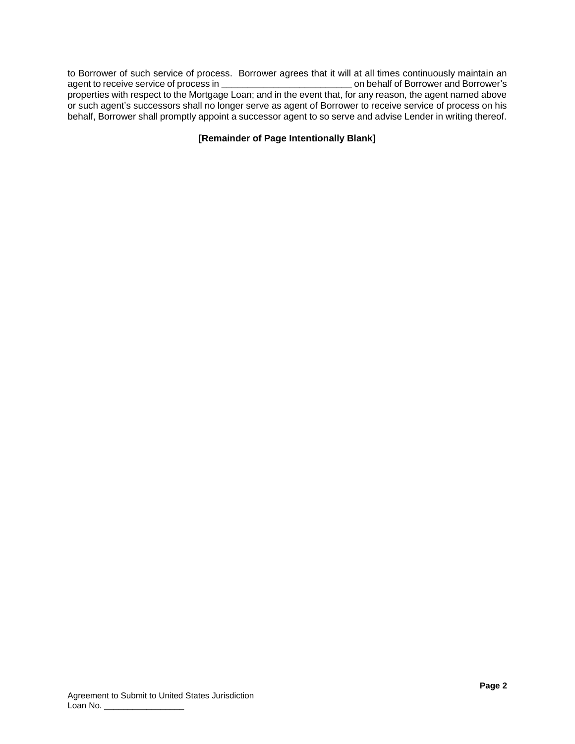to Borrower of such service of process. Borrower agrees that it will at all times continuously maintain an agent to receive service of process in **\_\_\_\_\_\_\_\_\_\_\_\_\_\_\_\_\_\_\_\_\_\_\_\_\_** on behalf of Borrower and Borrower's properties with respect to the Mortgage Loan; and in the event that, for any reason, the agent named above or such agent's successors shall no longer serve as agent of Borrower to receive service of process on his behalf, Borrower shall promptly appoint a successor agent to so serve and advise Lender in writing thereof.

## **[Remainder of Page Intentionally Blank]**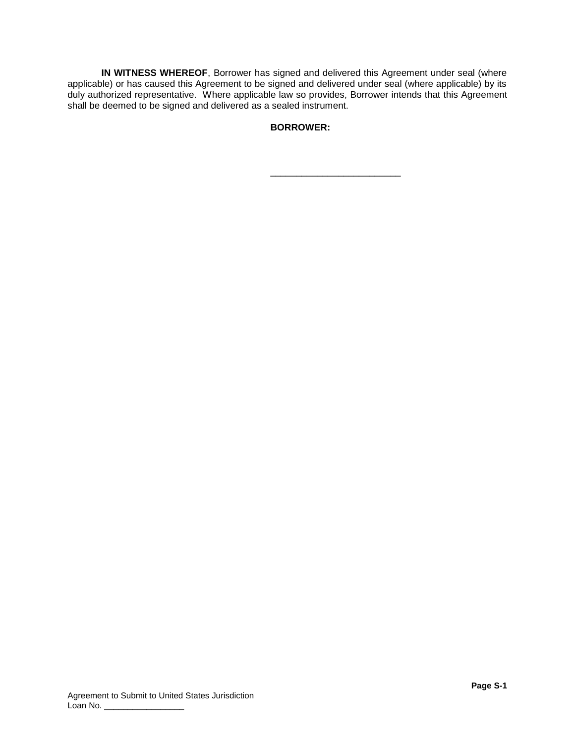**IN WITNESS WHEREOF**, Borrower has signed and delivered this Agreement under seal (where applicable) or has caused this Agreement to be signed and delivered under seal (where applicable) by its duly authorized representative. Where applicable law so provides, Borrower intends that this Agreement shall be deemed to be signed and delivered as a sealed instrument.

**BORROWER:**

\_\_\_\_\_\_\_\_\_\_\_\_\_\_\_\_\_\_\_\_\_\_\_\_\_